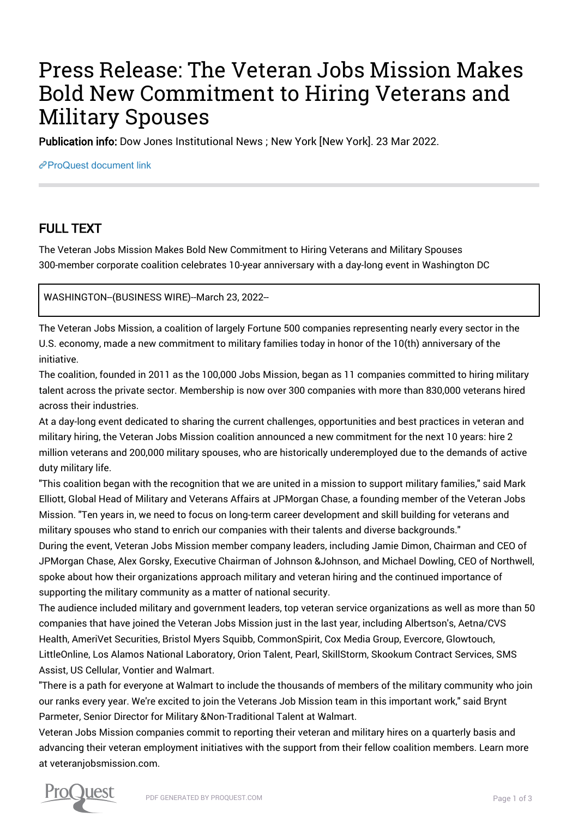# Press Release: The Veteran Jobs Mission Makes Bold New Commitment to Hiring Veterans and Military Spouses

Publication info: Dow Jones Institutional News ; New York [New York]. 23 Mar 2022.

[ProQuest document link](https://www.proquest.com/wire-feeds/press-release-veteran-jobs-mission-makes-bold-new/docview/2642123988/se-2?accountid=44910)

## FULL TEXT

The Veteran Jobs Mission Makes Bold New Commitment to Hiring Veterans and Military Spouses 300-member corporate coalition celebrates 10-year anniversary with a day-long event in Washington DC

WASHINGTON--(BUSINESS WIRE)--March 23, 2022--

The Veteran Jobs Mission, a coalition of largely Fortune 500 companies representing nearly every sector in the U.S. economy, made a new commitment to military families today in honor of the 10(th) anniversary of the initiative.

The coalition, founded in 2011 as the 100,000 Jobs Mission, began as 11 companies committed to hiring military talent across the private sector. Membership is now over 300 companies with more than 830,000 veterans hired across their industries.

At a day-long event dedicated to sharing the current challenges, opportunities and best practices in veteran and military hiring, the Veteran Jobs Mission coalition announced a new commitment for the next 10 years: hire 2 million veterans and 200,000 military spouses, who are historically underemployed due to the demands of active duty military life.

"This coalition began with the recognition that we are united in a mission to support military families," said Mark Elliott, Global Head of Military and Veterans Affairs at JPMorgan Chase, a founding member of the Veteran Jobs Mission. "Ten years in, we need to focus on long-term career development and skill building for veterans and military spouses who stand to enrich our companies with their talents and diverse backgrounds."

During the event, Veteran Jobs Mission member company leaders, including Jamie Dimon, Chairman and CEO of JPMorgan Chase, Alex Gorsky, Executive Chairman of Johnson &Johnson, and Michael Dowling, CEO of Northwell, spoke about how their organizations approach military and veteran hiring and the continued importance of supporting the military community as a matter of national security.

The audience included military and government leaders, top veteran service organizations as well as more than 50 companies that have joined the Veteran Jobs Mission just in the last year, including Albertson's, Aetna/CVS Health, AmeriVet Securities, Bristol Myers Squibb, CommonSpirit, Cox Media Group, Evercore, Glowtouch, LittleOnline, Los Alamos National Laboratory, Orion Talent, Pearl, SkillStorm, Skookum Contract Services, SMS Assist, US Cellular, Vontier and Walmart.

"There is a path for everyone at Walmart to include the thousands of members of the military community who join our ranks every year. We're excited to join the Veterans Job Mission team in this important work," said Brynt Parmeter, Senior Director for Military &Non-Traditional Talent at Walmart.

Veteran Jobs Mission companies commit to reporting their veteran and military hires on a quarterly basis and advancing their veteran employment initiatives with the support from their fellow coalition members. Learn more at veteranjobsmission.com.

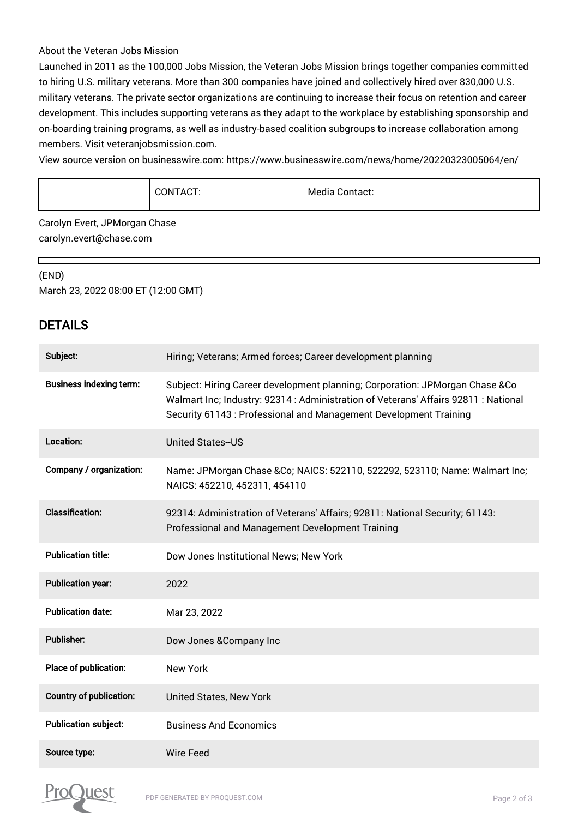#### About the Veteran Jobs Mission

Launched in 2011 as the 100,000 Jobs Mission, the Veteran Jobs Mission brings together companies committed to hiring U.S. military veterans. More than 300 companies have joined and collectively hired over 830,000 U.S. military veterans. The private sector organizations are continuing to increase their focus on retention and career development. This includes supporting veterans as they adapt to the workplace by establishing sponsorship and on-boarding training programs, as well as industry-based coalition subgroups to increase collaboration among members. Visit veteranjobsmission.com.

View source version on businesswire.com: https://www.businesswire.com/news/home/20220323005064/en/

|  | CONTACT: | Media (<br>Contact: |
|--|----------|---------------------|
|--|----------|---------------------|

Carolyn Evert, JPMorgan Chase carolyn.evert@chase.com

### (END)

г

March 23, 2022 08:00 ET (12:00 GMT)

## DETAILS

| Subject:                       | Hiring; Veterans; Armed forces; Career development planning                                                                                                                                                                              |
|--------------------------------|------------------------------------------------------------------------------------------------------------------------------------------------------------------------------------------------------------------------------------------|
| <b>Business indexing term:</b> | Subject: Hiring Career development planning; Corporation: JPMorgan Chase &Co<br>Walmart Inc; Industry: 92314 : Administration of Veterans' Affairs 92811 : National<br>Security 61143 : Professional and Management Development Training |
| Location:                      | <b>United States--US</b>                                                                                                                                                                                                                 |
| Company / organization:        | Name: JPMorgan Chase & Co; NAICS: 522110, 522292, 523110; Name: Walmart Inc;<br>NAICS: 452210, 452311, 454110                                                                                                                            |
| <b>Classification:</b>         | 92314: Administration of Veterans' Affairs; 92811: National Security; 61143:<br>Professional and Management Development Training                                                                                                         |
| <b>Publication title:</b>      | Dow Jones Institutional News; New York                                                                                                                                                                                                   |
| <b>Publication year:</b>       | 2022                                                                                                                                                                                                                                     |
| <b>Publication date:</b>       | Mar 23, 2022                                                                                                                                                                                                                             |
| Publisher:                     | Dow Jones & Company Inc                                                                                                                                                                                                                  |
| Place of publication:          | <b>New York</b>                                                                                                                                                                                                                          |
| <b>Country of publication:</b> | United States, New York                                                                                                                                                                                                                  |
| <b>Publication subject:</b>    | <b>Business And Economics</b>                                                                                                                                                                                                            |
| Source type:                   | <b>Wire Feed</b>                                                                                                                                                                                                                         |